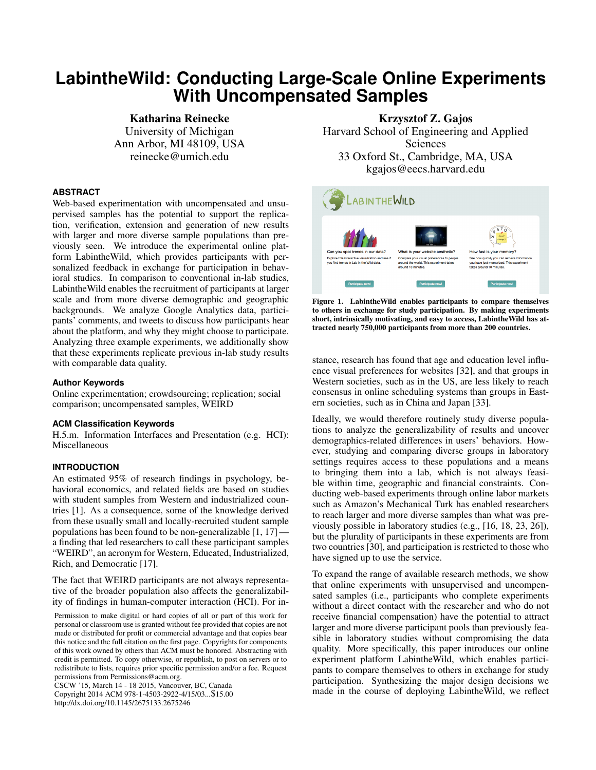# **LabintheWild: Conducting Large-Scale Online Experiments With Uncompensated Samples**

Katharina Reinecke University of Michigan Ann Arbor, MI 48109, USA reinecke@umich.edu

## **ABSTRACT**

Web-based experimentation with uncompensated and unsupervised samples has the potential to support the replication, verification, extension and generation of new results with larger and more diverse sample populations than previously seen. We introduce the experimental online platform LabintheWild, which provides participants with personalized feedback in exchange for participation in behavioral studies. In comparison to conventional in-lab studies, LabintheWild enables the recruitment of participants at larger scale and from more diverse demographic and geographic backgrounds. We analyze Google Analytics data, participants' comments, and tweets to discuss how participants hear about the platform, and why they might choose to participate. Analyzing three example experiments, we additionally show that these experiments replicate previous in-lab study results with comparable data quality.

#### **Author Keywords**

Online experimentation; crowdsourcing; replication; social comparison; uncompensated samples, WEIRD

## **ACM Classification Keywords**

H.5.m. Information Interfaces and Presentation (e.g. HCI): Miscellaneous

## **INTRODUCTION**

An estimated 95% of research findings in psychology, behavioral economics, and related fields are based on studies with student samples from Western and industrialized countries [\[1\]](#page-13-0). As a consequence, some of the knowledge derived from these usually small and locally-recruited student sample populations has been found to be non-generalizable [\[1,](#page-13-0) [17\]](#page-14-0) a finding that led researchers to call these participant samples "WEIRD", an acronym for Western, Educated, Industrialized, Rich, and Democratic [\[17\]](#page-14-0).

The fact that WEIRD participants are not always representative of the broader population also affects the generalizability of findings in human-computer interaction (HCI). For in-

Permission to make digital or hard copies of all or part of this work for personal or classroom use is granted without fee provided that copies are not made or distributed for profit or commercial advantage and that copies bear this notice and the full citation on the first page. Copyrights for components of this work owned by others than ACM must be honored. Abstracting with credit is permitted. To copy otherwise, or republish, to post on servers or to redistribute to lists, requires prior specific permission and/or a fee. Request permissions from Permissions@acm.org.

CSCW '15, March 14 - 18 2015, Vancouver, BC, Canada Copyright 2014 ACM 978-1-4503-2922-4/15/03...\$15.00 http://dx.doi.org/10.1145/2675133.2675246

Krzysztof Z. Gajos Harvard School of Engineering and Applied **Sciences** 33 Oxford St., Cambridge, MA, USA kgajos@eecs.harvard.edu



Figure 1. LabintheWild enables participants to compare themselves to others in exchange for study participation. By making experiments short, intrinsically motivating, and easy to access, LabintheWild has attracted nearly 750,000 participants from more than 200 countries.

stance, research has found that age and education level influence visual preferences for websites [\[32\]](#page-14-1), and that groups in Western societies, such as in the US, are less likely to reach consensus in online scheduling systems than groups in Eastern societies, such as in China and Japan [\[33\]](#page-14-2).

Ideally, we would therefore routinely study diverse populations to analyze the generalizability of results and uncover demographics-related differences in users' behaviors. However, studying and comparing diverse groups in laboratory settings requires access to these populations and a means to bringing them into a lab, which is not always feasible within time, geographic and financial constraints. Conducting web-based experiments through online labor markets such as Amazon's Mechanical Turk has enabled researchers to reach larger and more diverse samples than what was previously possible in laboratory studies (e.g., [\[16,](#page-13-1) [18,](#page-14-3) [23,](#page-14-4) [26\]](#page-14-5)), but the plurality of participants in these experiments are from two countries [\[30\]](#page-14-6), and participation is restricted to those who have signed up to use the service.

To expand the range of available research methods, we show that online experiments with unsupervised and uncompensated samples (i.e., participants who complete experiments without a direct contact with the researcher and who do not receive financial compensation) have the potential to attract larger and more diverse participant pools than previously feasible in laboratory studies without compromising the data quality. More specifically, this paper introduces our online experiment platform LabintheWild, which enables participants to compare themselves to others in exchange for study participation. Synthesizing the major design decisions we made in the course of deploying LabintheWild, we reflect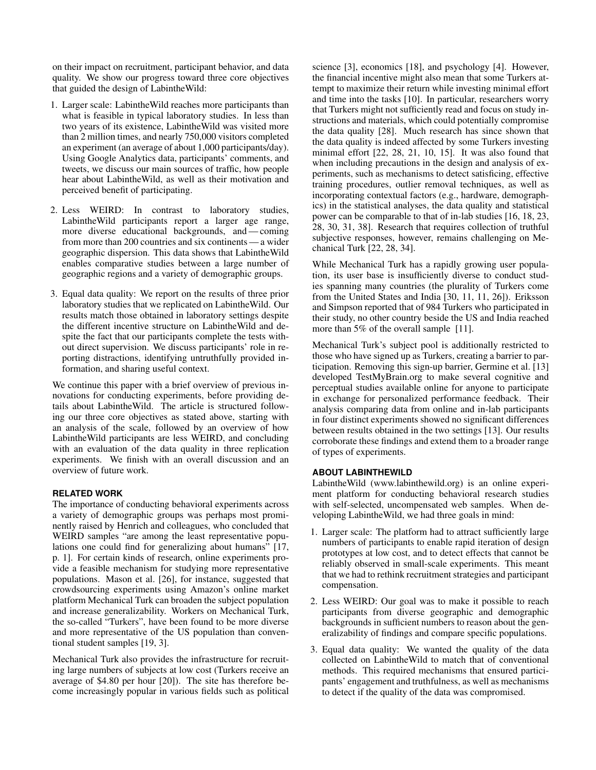on their impact on recruitment, participant behavior, and data quality. We show our progress toward three core objectives that guided the design of LabintheWild:

- 1. Larger scale: LabintheWild reaches more participants than what is feasible in typical laboratory studies. In less than two years of its existence, LabintheWild was visited more than 2 million times, and nearly 750,000 visitors completed an experiment (an average of about 1,000 participants/day). Using Google Analytics data, participants' comments, and tweets, we discuss our main sources of traffic, how people hear about LabintheWild, as well as their motivation and perceived benefit of participating.
- 2. Less WEIRD: In contrast to laboratory studies, LabintheWild participants report a larger age range, more diverse educational backgrounds, and — coming from more than 200 countries and six continents — a wider geographic dispersion. This data shows that LabintheWild enables comparative studies between a large number of geographic regions and a variety of demographic groups.
- 3. Equal data quality: We report on the results of three prior laboratory studies that we replicated on LabintheWild. Our results match those obtained in laboratory settings despite the different incentive structure on LabintheWild and despite the fact that our participants complete the tests without direct supervision. We discuss participants' role in reporting distractions, identifying untruthfully provided information, and sharing useful context.

We continue this paper with a brief overview of previous innovations for conducting experiments, before providing details about LabintheWild. The article is structured following our three core objectives as stated above, starting with an analysis of the scale, followed by an overview of how LabintheWild participants are less WEIRD, and concluding with an evaluation of the data quality in three replication experiments. We finish with an overall discussion and an overview of future work.

# **RELATED WORK**

The importance of conducting behavioral experiments across a variety of demographic groups was perhaps most prominently raised by Henrich and colleagues, who concluded that WEIRD samples "are among the least representative populations one could find for generalizing about humans" [\[17,](#page-14-0) p. 1]. For certain kinds of research, online experiments provide a feasible mechanism for studying more representative populations. Mason et al. [\[26\]](#page-14-5), for instance, suggested that crowdsourcing experiments using Amazon's online market platform Mechanical Turk can broaden the subject population and increase generalizability. Workers on Mechanical Turk, the so-called "Turkers", have been found to be more diverse and more representative of the US population than conventional student samples [\[19,](#page-14-7) [3\]](#page-13-2).

Mechanical Turk also provides the infrastructure for recruiting large numbers of subjects at low cost (Turkers receive an average of \$4.80 per hour [\[20\]](#page-14-8)). The site has therefore become increasingly popular in various fields such as political science [\[3\]](#page-13-2), economics [\[18\]](#page-14-3), and psychology [\[4\]](#page-13-3). However, the financial incentive might also mean that some Turkers attempt to maximize their return while investing minimal effort and time into the tasks [\[10\]](#page-13-4). In particular, researchers worry that Turkers might not sufficiently read and focus on study instructions and materials, which could potentially compromise the data quality [\[28\]](#page-14-9). Much research has since shown that the data quality is indeed affected by some Turkers investing minimal effort [\[22,](#page-14-10) [28,](#page-14-9) [21,](#page-14-11) [10,](#page-13-4) [15\]](#page-13-5). It was also found that when including precautions in the design and analysis of experiments, such as mechanisms to detect satisficing, effective training procedures, outlier removal techniques, as well as incorporating contextual factors (e.g., hardware, demographics) in the statistical analyses, the data quality and statistical power can be comparable to that of in-lab studies [\[16,](#page-13-1) [18,](#page-14-3) [23,](#page-14-4) [28,](#page-14-9) [30,](#page-14-6) [31,](#page-14-12) [38\]](#page-14-13). Research that requires collection of truthful subjective responses, however, remains challenging on Mechanical Turk [\[22,](#page-14-10) [28,](#page-14-9) [34\]](#page-14-14).

While Mechanical Turk has a rapidly growing user population, its user base is insufficiently diverse to conduct studies spanning many countries (the plurality of Turkers come from the United States and India [\[30,](#page-14-6) [11,](#page-13-6) [11,](#page-13-6) [26\]](#page-14-5)). Eriksson and Simpson reported that of 984 Turkers who participated in their study, no other country beside the US and India reached more than 5% of the overall sample [\[11\]](#page-13-6).

Mechanical Turk's subject pool is additionally restricted to those who have signed up as Turkers, creating a barrier to participation. Removing this sign-up barrier, Germine et al. [\[13\]](#page-13-7) developed TestMyBrain.org to make several cognitive and perceptual studies available online for anyone to participate in exchange for personalized performance feedback. Their analysis comparing data from online and in-lab participants in four distinct experiments showed no significant differences between results obtained in the two settings [\[13\]](#page-13-7). Our results corroborate these findings and extend them to a broader range of types of experiments.

# **ABOUT LABINTHEWILD**

LabintheWild (www.labinthewild.org) is an online experiment platform for conducting behavioral research studies with self-selected, uncompensated web samples. When developing LabintheWild, we had three goals in mind:

- 1. Larger scale: The platform had to attract sufficiently large numbers of participants to enable rapid iteration of design prototypes at low cost, and to detect effects that cannot be reliably observed in small-scale experiments. This meant that we had to rethink recruitment strategies and participant compensation.
- 2. Less WEIRD: Our goal was to make it possible to reach participants from diverse geographic and demographic backgrounds in sufficient numbers to reason about the generalizability of findings and compare specific populations.
- 3. Equal data quality: We wanted the quality of the data collected on LabintheWild to match that of conventional methods. This required mechanisms that ensured participants' engagement and truthfulness, as well as mechanisms to detect if the quality of the data was compromised.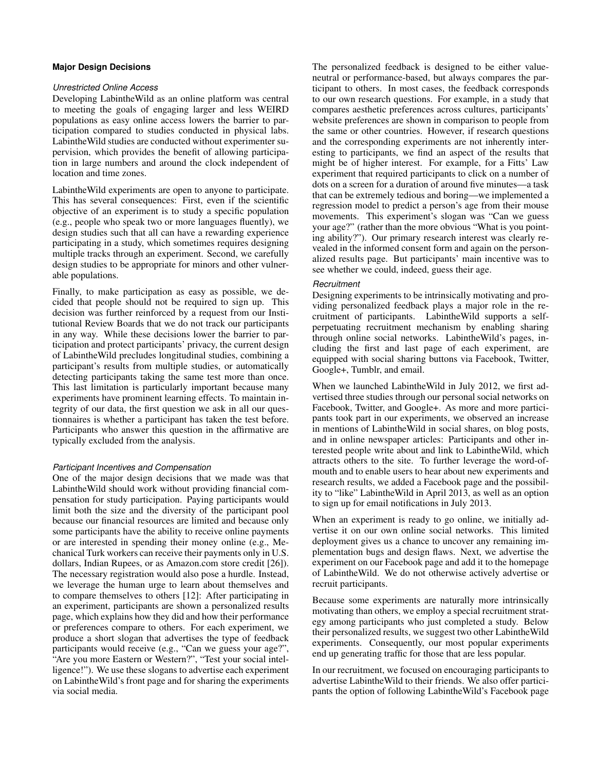# **Major Design Decisions**

#### *Unrestricted Online Access*

Developing LabintheWild as an online platform was central to meeting the goals of engaging larger and less WEIRD populations as easy online access lowers the barrier to participation compared to studies conducted in physical labs. LabintheWild studies are conducted without experimenter supervision, which provides the benefit of allowing participation in large numbers and around the clock independent of location and time zones.

LabintheWild experiments are open to anyone to participate. This has several consequences: First, even if the scientific objective of an experiment is to study a specific population (e.g., people who speak two or more languages fluently), we design studies such that all can have a rewarding experience participating in a study, which sometimes requires designing multiple tracks through an experiment. Second, we carefully design studies to be appropriate for minors and other vulnerable populations.

Finally, to make participation as easy as possible, we decided that people should not be required to sign up. This decision was further reinforced by a request from our Institutional Review Boards that we do not track our participants in any way. While these decisions lower the barrier to participation and protect participants' privacy, the current design of LabintheWild precludes longitudinal studies, combining a participant's results from multiple studies, or automatically detecting participants taking the same test more than once. This last limitation is particularly important because many experiments have prominent learning effects. To maintain integrity of our data, the first question we ask in all our questionnaires is whether a participant has taken the test before. Participants who answer this question in the affirmative are typically excluded from the analysis.

# *Participant Incentives and Compensation*

One of the major design decisions that we made was that LabintheWild should work without providing financial compensation for study participation. Paying participants would limit both the size and the diversity of the participant pool because our financial resources are limited and because only some participants have the ability to receive online payments or are interested in spending their money online (e.g., Mechanical Turk workers can receive their payments only in U.S. dollars, Indian Rupees, or as Amazon.com store credit [\[26\]](#page-14-5)). The necessary registration would also pose a hurdle. Instead, we leverage the human urge to learn about themselves and to compare themselves to others [\[12\]](#page-13-8): After participating in an experiment, participants are shown a personalized results page, which explains how they did and how their performance or preferences compare to others. For each experiment, we produce a short slogan that advertises the type of feedback participants would receive (e.g., "Can we guess your age?", "Are you more Eastern or Western?", "Test your social intelligence!"). We use these slogans to advertise each experiment on LabintheWild's front page and for sharing the experiments via social media.

The personalized feedback is designed to be either valueneutral or performance-based, but always compares the participant to others. In most cases, the feedback corresponds to our own research questions. For example, in a study that compares aesthetic preferences across cultures, participants' website preferences are shown in comparison to people from the same or other countries. However, if research questions and the corresponding experiments are not inherently interesting to participants, we find an aspect of the results that might be of higher interest. For example, for a Fitts' Law experiment that required participants to click on a number of dots on a screen for a duration of around five minutes—a task that can be extremely tedious and boring—we implemented a regression model to predict a person's age from their mouse movements. This experiment's slogan was "Can we guess your age?" (rather than the more obvious "What is you pointing ability?"). Our primary research interest was clearly revealed in the informed consent form and again on the personalized results page. But participants' main incentive was to see whether we could, indeed, guess their age.

## *Recruitment*

Designing experiments to be intrinsically motivating and providing personalized feedback plays a major role in the recruitment of participants. LabintheWild supports a selfperpetuating recruitment mechanism by enabling sharing through online social networks. LabintheWild's pages, including the first and last page of each experiment, are equipped with social sharing buttons via Facebook, Twitter, Google+, Tumblr, and email.

When we launched LabintheWild in July 2012, we first advertised three studies through our personal social networks on Facebook, Twitter, and Google+. As more and more participants took part in our experiments, we observed an increase in mentions of LabintheWild in social shares, on blog posts, and in online newspaper articles: Participants and other interested people write about and link to LabintheWild, which attracts others to the site. To further leverage the word-ofmouth and to enable users to hear about new experiments and research results, we added a Facebook page and the possibility to "like" LabintheWild in April 2013, as well as an option to sign up for email notifications in July 2013.

When an experiment is ready to go online, we initially advertise it on our own online social networks. This limited deployment gives us a chance to uncover any remaining implementation bugs and design flaws. Next, we advertise the experiment on our Facebook page and add it to the homepage of LabintheWild. We do not otherwise actively advertise or recruit participants.

Because some experiments are naturally more intrinsically motivating than others, we employ a special recruitment strategy among participants who just completed a study. Below their personalized results, we suggest two other LabintheWild experiments. Consequently, our most popular experiments end up generating traffic for those that are less popular.

In our recruitment, we focused on encouraging participants to advertise LabintheWild to their friends. We also offer participants the option of following LabintheWild's Facebook page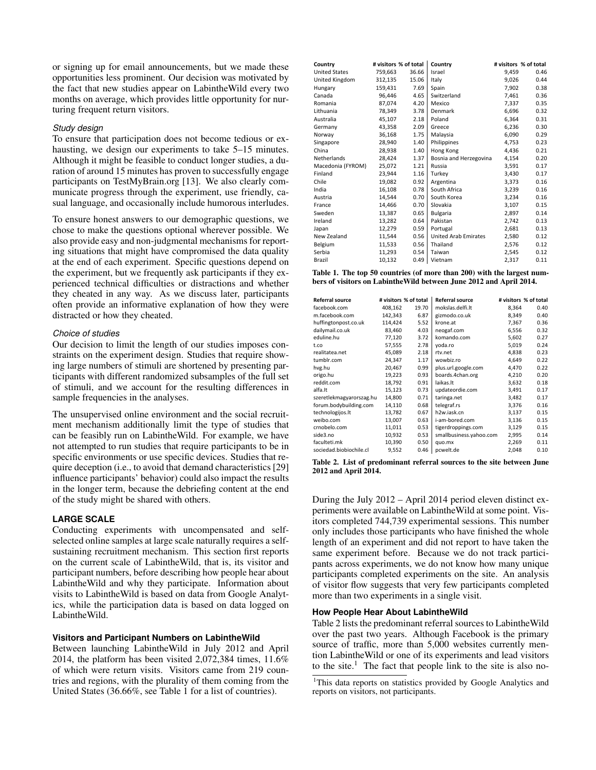or signing up for email announcements, but we made these opportunities less prominent. Our decision was motivated by the fact that new studies appear on LabintheWild every two months on average, which provides little opportunity for nurturing frequent return visitors.

## *Study design*

To ensure that participation does not become tedious or exhausting, we design our experiments to take 5–15 minutes. Although it might be feasible to conduct longer studies, a duration of around 15 minutes has proven to successfully engage participants on TestMyBrain.org [\[13\]](#page-13-7). We also clearly communicate progress through the experiment, use friendly, casual language, and occasionally include humorous interludes.

To ensure honest answers to our demographic questions, we chose to make the questions optional wherever possible. We also provide easy and non-judgmental mechanisms for reporting situations that might have compromised the data quality at the end of each experiment. Specific questions depend on the experiment, but we frequently ask participants if they experienced technical difficulties or distractions and whether they cheated in any way. As we discuss later, participants often provide an informative explanation of how they were distracted or how they cheated.

#### *Choice of studies*

Our decision to limit the length of our studies imposes constraints on the experiment design. Studies that require showing large numbers of stimuli are shortened by presenting participants with different randomized subsamples of the full set of stimuli, and we account for the resulting differences in sample frequencies in the analyses.

The unsupervised online environment and the social recruitment mechanism additionally limit the type of studies that can be feasibly run on LabintheWild. For example, we have not attempted to run studies that require participants to be in specific environments or use specific devices. Studies that require deception (i.e., to avoid that demand characteristics [\[29\]](#page-14-15) influence participants' behavior) could also impact the results in the longer term, because the debriefing content at the end of the study might be shared with others.

# **LARGE SCALE**

Conducting experiments with uncompensated and selfselected online samples at large scale naturally requires a selfsustaining recruitment mechanism. This section first reports on the current scale of LabintheWild, that is, its visitor and participant numbers, before describing how people hear about LabintheWild and why they participate. Information about visits to LabintheWild is based on data from Google Analytics, while the participation data is based on data logged on LabintheWild.

#### **Visitors and Participant Numbers on LabintheWild**

Between launching LabintheWild in July 2012 and April 2014, the platform has been visited 2,072,384 times, 11.6% of which were return visits. Visitors came from 219 countries and regions, with the plurality of them coming from the United States (36.66%, see Table [1](#page-3-0) for a list of countries).

| Country              | # visitors % of total |       | Country                     |       | # visitors % of total |
|----------------------|-----------------------|-------|-----------------------------|-------|-----------------------|
| <b>United States</b> | 759,663               | 36.66 | Israel                      | 9,459 | 0.46                  |
| United Kingdom       | 312,135               | 15.06 | Italy                       | 9,026 | 0.44                  |
| Hungary              | 159,431               | 7.69  | Spain                       | 7,902 | 0.38                  |
| Canada               | 96,446                | 4.65  | Switzerland                 | 7,461 | 0.36                  |
| Romania              | 87,074                | 4.20  | Mexico                      | 7,337 | 0.35                  |
| Lithuania            | 78,349                | 3.78  | Denmark                     | 6,696 | 0.32                  |
| Australia            | 45,107                | 2.18  | Poland                      | 6,364 | 0.31                  |
| Germany              | 43,358                | 2.09  | Greece                      | 6,236 | 0.30                  |
| Norway               | 36,168                | 1.75  | Malaysia                    | 6,090 | 0.29                  |
| Singapore            | 28,940                | 1.40  | Philippines                 | 4,753 | 0.23                  |
| China                | 28,938                | 1.40  | Hong Kong                   | 4,436 | 0.21                  |
| Netherlands          | 28,424                | 1.37  | Bosnia and Herzegovina      | 4,154 | 0.20                  |
| Macedonia (FYROM)    | 25,072                | 1.21  | Russia                      | 3,591 | 0.17                  |
| Finland              | 23,944                | 1.16  | Turkey                      | 3,430 | 0.17                  |
| Chile                | 19,082                | 0.92  | Argentina                   | 3,373 | 0.16                  |
| India                | 16,108                | 0.78  | South Africa                | 3,239 | 0.16                  |
| Austria              | 14,544                | 0.70  | South Korea                 | 3,234 | 0.16                  |
| France               | 14,466                | 0.70  | Slovakia                    | 3,107 | 0.15                  |
| Sweden               | 13,387                | 0.65  | <b>Bulgaria</b>             | 2,897 | 0.14                  |
| Ireland              | 13,282                | 0.64  | Pakistan                    | 2,742 | 0.13                  |
| Japan                | 12,279                | 0.59  | Portugal                    | 2,681 | 0.13                  |
| New Zealand          | 11,544                | 0.56  | <b>United Arab Emirates</b> | 2,580 | 0.12                  |
| Belgium              | 11,533                | 0.56  | Thailand                    | 2,576 | 0.12                  |
| Serbia               | 11,293                | 0.54  | Taiwan                      | 2,545 | 0.12                  |
| Brazil               | 10,132                | 0.49  | Vietnam                     | 2,317 | 0.11                  |

<span id="page-3-0"></span>

|  |  | Table 1. The top 50 countries (of more than 200) with the largest num- |
|--|--|------------------------------------------------------------------------|
|  |  | bers of visitors on Labinthe Wild between June 2012 and April 2014.    |

|                          |       | <b>Referral source</b>                              |       | # visitors % of total   |
|--------------------------|-------|-----------------------------------------------------|-------|-------------------------|
| 408,162                  | 19.70 | mokslas.delfi.lt                                    | 8,364 | 0.40                    |
| 142,343                  | 6.87  | gizmodo.co.uk                                       | 8,349 | 0.40                    |
| 114,424                  | 5.52  | krone.at                                            | 7,367 | 0.36                    |
| 83,460                   | 4.03  | neogaf.com                                          | 6,556 | 0.32                    |
|                          | 3.72  | komando.com                                         | 5,602 | 0.27                    |
| 57,555                   | 2.78  | yoda.ro                                             | 5,019 | 0.24                    |
| 45,089                   | 2.18  | rtv.net                                             | 4.838 | 0.23                    |
| 24,347                   | 1.17  | wowbiz.ro                                           | 4,649 | 0.22                    |
| 20.467                   | 0.99  | plus.url.google.com                                 | 4.470 | 0.22                    |
| 19,223                   | 0.93  | boards.4chan.org                                    | 4,210 | 0.20                    |
| 18,792                   | 0.91  | laikas.lt                                           | 3,632 | 0.18                    |
| 15,123                   | 0.73  | updateordie.com                                     | 3,491 | 0.17                    |
| szeretlekmagyarorszag.hu | 0.71  | taringa.net                                         | 3,482 | 0.17                    |
| 14,110                   | 0.68  | telegraf.rs                                         | 3,376 | 0.16                    |
| 13,782                   | 0.67  | h <sub>2w.iask.cn</sub>                             | 3,137 | 0.15                    |
| 13,007                   | 0.63  | i-am-bored.com                                      | 3,136 | 0.15                    |
| 11,011                   | 0.53  | tigerdroppings.com                                  | 3,129 | 0.15                    |
| 10,932                   | 0.53  |                                                     | 2,995 | 0.14                    |
|                          | 0.50  | quo.mx                                              | 2,269 | 0.11                    |
| 9,552                    | 0.46  | pcwelt.de                                           | 2,048 | 0.10                    |
|                          |       | # visitors % of total<br>77,120<br>14,800<br>10,390 |       | smallbusiness.yahoo.com |

<span id="page-3-1"></span>Table 2. List of predominant referral sources to the site between June 2012 and April 2014.

During the July 2012 – April 2014 period eleven distinct experiments were available on LabintheWild at some point. Visitors completed 744,739 experimental sessions. This number only includes those participants who have finished the whole length of an experiment and did not report to have taken the same experiment before. Because we do not track participants across experiments, we do not know how many unique participants completed experiments on the site. An analysis of visitor flow suggests that very few participants completed more than two experiments in a single visit.

### **How People Hear About LabintheWild**

Table [2](#page-3-1) lists the predominant referral sources to LabintheWild over the past two years. Although Facebook is the primary source of traffic, more than 5,000 websites currently mention LabintheWild or one of its experiments and lead visitors to the site.<sup>[1](#page-3-2)</sup> The fact that people link to the site is also no-

<span id="page-3-2"></span><sup>&</sup>lt;sup>1</sup>This data reports on statistics provided by Google Analytics and reports on visitors, not participants.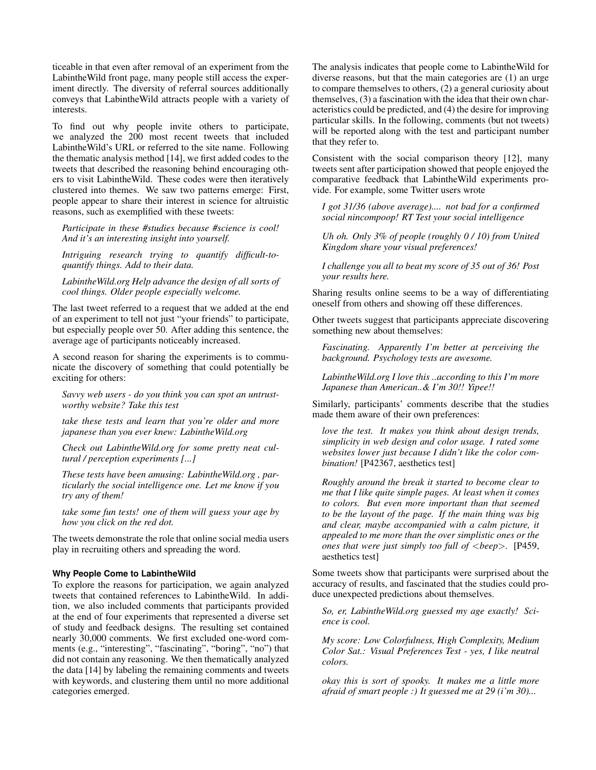ticeable in that even after removal of an experiment from the LabintheWild front page, many people still access the experiment directly. The diversity of referral sources additionally conveys that LabintheWild attracts people with a variety of interests.

To find out why people invite others to participate, we analyzed the 200 most recent tweets that included LabintheWild's URL or referred to the site name. Following the thematic analysis method [\[14\]](#page-13-9), we first added codes to the tweets that described the reasoning behind encouraging others to visit LabintheWild. These codes were then iteratively clustered into themes. We saw two patterns emerge: First, people appear to share their interest in science for altruistic reasons, such as exemplified with these tweets:

*Participate in these #studies because #science is cool! And it's an interesting insight into yourself.*

*Intriguing research trying to quantify difficult-toquantify things. Add to their data.*

*LabintheWild.org Help advance the design of all sorts of cool things. Older people especially welcome.*

The last tweet referred to a request that we added at the end of an experiment to tell not just "your friends" to participate, but especially people over 50. After adding this sentence, the average age of participants noticeably increased.

A second reason for sharing the experiments is to communicate the discovery of something that could potentially be exciting for others:

*Savvy web users - do you think you can spot an untrustworthy website? Take this test*

*take these tests and learn that you're older and more japanese than you ever knew: LabintheWild.org*

*Check out LabintheWild.org for some pretty neat cultural / perception experiments [...]*

*These tests have been amusing: LabintheWild.org , particularly the social intelligence one. Let me know if you try any of them!*

*take some fun tests! one of them will guess your age by how you click on the red dot.*

The tweets demonstrate the role that online social media users play in recruiting others and spreading the word.

#### **Why People Come to LabintheWild**

To explore the reasons for participation, we again analyzed tweets that contained references to LabintheWild. In addition, we also included comments that participants provided at the end of four experiments that represented a diverse set of study and feedback designs. The resulting set contained nearly 30,000 comments. We first excluded one-word comments (e.g., "interesting", "fascinating", "boring", "no") that did not contain any reasoning. We then thematically analyzed the data [\[14\]](#page-13-9) by labeling the remaining comments and tweets with keywords, and clustering them until no more additional categories emerged.

The analysis indicates that people come to LabintheWild for diverse reasons, but that the main categories are (1) an urge to compare themselves to others, (2) a general curiosity about themselves, (3) a fascination with the idea that their own characteristics could be predicted, and (4) the desire for improving particular skills. In the following, comments (but not tweets) will be reported along with the test and participant number that they refer to.

Consistent with the social comparison theory [\[12\]](#page-13-8), many tweets sent after participation showed that people enjoyed the comparative feedback that LabintheWild experiments provide. For example, some Twitter users wrote

*I got 31/36 (above average).... not bad for a confirmed social nincompoop! RT Test your social intelligence*

*Uh oh. Only 3% of people (roughly 0 / 10) from United Kingdom share your visual preferences!*

*I challenge you all to beat my score of 35 out of 36! Post your results here.*

Sharing results online seems to be a way of differentiating oneself from others and showing off these differences.

Other tweets suggest that participants appreciate discovering something new about themselves:

*Fascinating. Apparently I'm better at perceiving the background. Psychology tests are awesome.*

*LabintheWild.org I love this ..according to this I'm more Japanese than American..& I'm 30!! Yipee!!*

Similarly, participants' comments describe that the studies made them aware of their own preferences:

*love the test. It makes you think about design trends, simplicity in web design and color usage. I rated some websites lower just because I didn't like the color combination!* [P42367, aesthetics test]

*Roughly around the break it started to become clear to me that I like quite simple pages. At least when it comes to colors. But even more important than that seemed to be the layout of the page. If the main thing was big and clear, maybe accompanied with a calm picture, it appealed to me more than the over simplistic ones or the ones that were just simply too full of* <*beep*>*.* [P459, aesthetics test]

Some tweets show that participants were surprised about the accuracy of results, and fascinated that the studies could produce unexpected predictions about themselves.

*So, er, LabintheWild.org guessed my age exactly! Science is cool.*

*My score: Low Colorfulness, High Complexity, Medium Color Sat.: Visual Preferences Test - yes, I like neutral colors.*

*okay this is sort of spooky. It makes me a little more afraid of smart people :) It guessed me at 29 (i'm 30)...*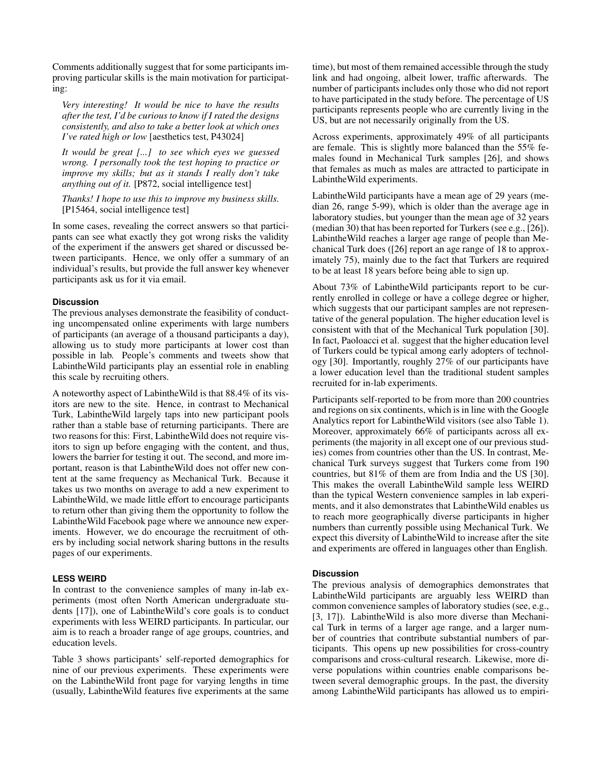Comments additionally suggest that for some participants improving particular skills is the main motivation for participating:

*Very interesting! It would be nice to have the results after the test, I'd be curious to know if I rated the designs consistently, and also to take a better look at which ones I've rated high or low* [aesthetics test, P43024]

*It would be great [...] to see which eyes we guessed wrong. I personally took the test hoping to practice or improve my skills; but as it stands I really don't take anything out of it.* [P872, social intelligence test]

*Thanks! I hope to use this to improve my business skills.* [P15464, social intelligence test]

In some cases, revealing the correct answers so that participants can see what exactly they got wrong risks the validity of the experiment if the answers get shared or discussed between participants. Hence, we only offer a summary of an individual's results, but provide the full answer key whenever participants ask us for it via email.

# **Discussion**

The previous analyses demonstrate the feasibility of conducting uncompensated online experiments with large numbers of participants (an average of a thousand participants a day), allowing us to study more participants at lower cost than possible in lab. People's comments and tweets show that LabintheWild participants play an essential role in enabling this scale by recruiting others.

A noteworthy aspect of LabintheWild is that 88.4% of its visitors are new to the site. Hence, in contrast to Mechanical Turk, LabintheWild largely taps into new participant pools rather than a stable base of returning participants. There are two reasons for this: First, LabintheWild does not require visitors to sign up before engaging with the content, and thus, lowers the barrier for testing it out. The second, and more important, reason is that LabintheWild does not offer new content at the same frequency as Mechanical Turk. Because it takes us two months on average to add a new experiment to LabintheWild, we made little effort to encourage participants to return other than giving them the opportunity to follow the LabintheWild Facebook page where we announce new experiments. However, we do encourage the recruitment of others by including social network sharing buttons in the results pages of our experiments.

#### **LESS WEIRD**

In contrast to the convenience samples of many in-lab experiments (most often North American undergraduate students [\[17\]](#page-14-0)), one of LabintheWild's core goals is to conduct experiments with less WEIRD participants. In particular, our aim is to reach a broader range of age groups, countries, and education levels.

Table [3](#page-6-0) shows participants' self-reported demographics for nine of our previous experiments. These experiments were on the LabintheWild front page for varying lengths in time (usually, LabintheWild features five experiments at the same

time), but most of them remained accessible through the study link and had ongoing, albeit lower, traffic afterwards. The number of participants includes only those who did not report to have participated in the study before. The percentage of US participants represents people who are currently living in the US, but are not necessarily originally from the US.

Across experiments, approximately 49% of all participants are female. This is slightly more balanced than the 55% females found in Mechanical Turk samples [\[26\]](#page-14-5), and shows that females as much as males are attracted to participate in LabintheWild experiments.

LabintheWild participants have a mean age of 29 years (median 26, range 5-99), which is older than the average age in laboratory studies, but younger than the mean age of 32 years (median 30) that has been reported for Turkers (see e.g., [\[26\]](#page-14-5)). LabintheWild reaches a larger age range of people than Mechanical Turk does ([\[26\]](#page-14-5) report an age range of 18 to approximately 75), mainly due to the fact that Turkers are required to be at least 18 years before being able to sign up.

About 73% of LabintheWild participants report to be currently enrolled in college or have a college degree or higher, which suggests that our participant samples are not representative of the general population. The higher education level is consistent with that of the Mechanical Turk population [\[30\]](#page-14-6). In fact, Paoloacci et al. suggest that the higher education level of Turkers could be typical among early adopters of technology [\[30\]](#page-14-6). Importantly, roughly 27% of our participants have a lower education level than the traditional student samples recruited for in-lab experiments.

Participants self-reported to be from more than 200 countries and regions on six continents, which is in line with the Google Analytics report for LabintheWild visitors (see also Table [1\)](#page-3-0). Moreover, approximately 66% of participants across all experiments (the majority in all except one of our previous studies) comes from countries other than the US. In contrast, Mechanical Turk surveys suggest that Turkers come from 190 countries, but 81% of them are from India and the US [\[30\]](#page-14-6). This makes the overall LabintheWild sample less WEIRD than the typical Western convenience samples in lab experiments, and it also demonstrates that LabintheWild enables us to reach more geographically diverse participants in higher numbers than currently possible using Mechanical Turk. We expect this diversity of LabintheWild to increase after the site and experiments are offered in languages other than English.

#### **Discussion**

The previous analysis of demographics demonstrates that LabintheWild participants are arguably less WEIRD than common convenience samples of laboratory studies (see, e.g., [\[3,](#page-13-2) [17\]](#page-14-0)). LabintheWild is also more diverse than Mechanical Turk in terms of a larger age range, and a larger number of countries that contribute substantial numbers of participants. This opens up new possibilities for cross-country comparisons and cross-cultural research. Likewise, more diverse populations within countries enable comparisons between several demographic groups. In the past, the diversity among LabintheWild participants has allowed us to empiri-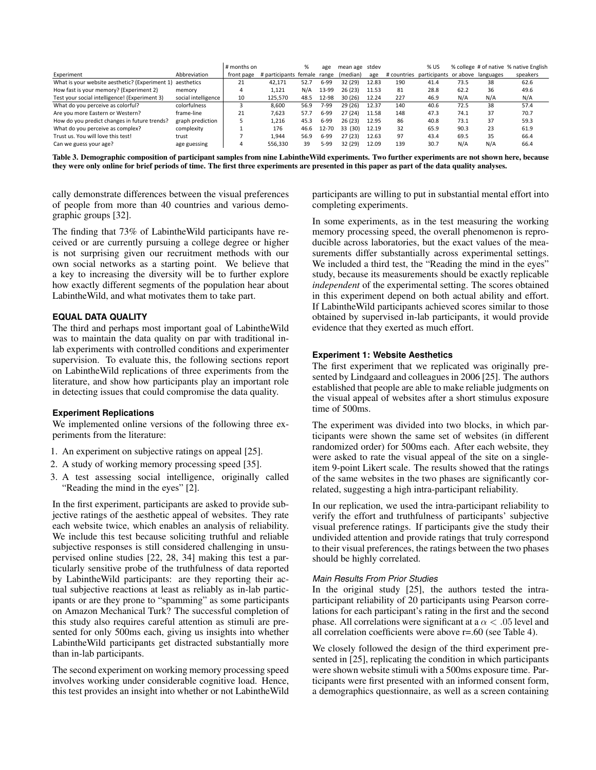|                                                           |                     | # months on |                             | %    | age      | mean age stdev |       |     | % US                                        |      |     | % college # of native % native English |
|-----------------------------------------------------------|---------------------|-------------|-----------------------------|------|----------|----------------|-------|-----|---------------------------------------------|------|-----|----------------------------------------|
| Experiment                                                | Abbreviation        | front page  | # participants female range |      |          | (median)       | age   |     | # countries participants or above languages |      |     | speakers                               |
| What is your website aesthetic? (Experiment 1) aesthetics |                     | 21          | 42.171                      | 52.7 | 6-99     | 32 (29)        | 12.83 | 190 | 41.4                                        | 73.5 | 38  | 62.6                                   |
| How fast is your memory? (Experiment 2)                   | memory              | 4           | 1.121                       | N/A  | 13-99    | 26(23)         | 11.53 | 81  | 28.8                                        | 62.2 | 36  | 49.6                                   |
| Test your social intelligence! (Experiment 3)             | social intelligence | 10          | 125.570                     | 48.5 | 12-98    | 30(26)         | 12.24 | 227 | 46.9                                        | N/A  | N/A | N/A                                    |
| What do you perceive as colorful?                         | colorfulness        |             | 8.600                       | 56.9 | 7-99     | 29(26)         | 12.37 | 140 | 40.6                                        | 72.5 | 38  | 57.4                                   |
| Are you more Eastern or Western?                          | frame-line          | 21          | 7.623                       | 57.7 | 6-99     | 27(24)         | 11.58 | 148 | 47.3                                        | 74.1 | 37  | 70.7                                   |
| How do you predict changes in future trends?              | graph prediction    |             | 1.216                       | 45.3 | $6 - 99$ | 26(23)         | 12.95 | 86  | 40.8                                        | 73.1 | 37  | 59.3                                   |
| What do you perceive as complex?                          | complexity          |             | 176                         | 46.6 | 12-70    | 33 (30)        | 12.19 | 32  | 65.9                                        | 90.3 | 23  | 61.9                                   |
| Trust us. You will love this test!                        | trust               |             | 1.944                       | 56.9 | $6-99$   | 27(23)         | 12.63 | 97  | 43.4                                        | 69.5 | 35  | 66.4                                   |
| Can we guess your age?                                    | age guessing        | 4           | 556.330                     | 39   | 5-99     | 32 (29)        | 12.09 | 139 | 30.7                                        | N/A  | N/A | 66.4                                   |

<span id="page-6-0"></span>Table 3. Demographic composition of participant samples from nine LabintheWild experiments. Two further experiments are not shown here, because they were only online for brief periods of time. The first three experiments are presented in this paper as part of the data quality analyses.

cally demonstrate differences between the visual preferences of people from more than 40 countries and various demographic groups [\[32\]](#page-14-1).

The finding that 73% of LabintheWild participants have received or are currently pursuing a college degree or higher is not surprising given our recruitment methods with our own social networks as a starting point. We believe that a key to increasing the diversity will be to further explore how exactly different segments of the population hear about LabintheWild, and what motivates them to take part.

# **EQUAL DATA QUALITY**

The third and perhaps most important goal of LabintheWild was to maintain the data quality on par with traditional inlab experiments with controlled conditions and experimenter supervision. To evaluate this, the following sections report on LabintheWild replications of three experiments from the literature, and show how participants play an important role in detecting issues that could compromise the data quality.

#### **Experiment Replications**

We implemented online versions of the following three experiments from the literature:

- 1. An experiment on subjective ratings on appeal [\[25\]](#page-14-16).
- 2. A study of working memory processing speed [\[35\]](#page-14-17).
- 3. A test assessing social intelligence, originally called "Reading the mind in the eyes" [\[2\]](#page-13-10).

In the first experiment, participants are asked to provide subjective ratings of the aesthetic appeal of websites. They rate each website twice, which enables an analysis of reliability. We include this test because soliciting truthful and reliable subjective responses is still considered challenging in unsupervised online studies [\[22,](#page-14-10) [28,](#page-14-9) [34\]](#page-14-14) making this test a particularly sensitive probe of the truthfulness of data reported by LabintheWild participants: are they reporting their actual subjective reactions at least as reliably as in-lab participants or are they prone to "spamming" as some participants on Amazon Mechanical Turk? The successful completion of this study also requires careful attention as stimuli are presented for only 500ms each, giving us insights into whether LabintheWild participants get distracted substantially more than in-lab participants.

The second experiment on working memory processing speed involves working under considerable cognitive load. Hence, this test provides an insight into whether or not LabintheWild

participants are willing to put in substantial mental effort into completing experiments.

In some experiments, as in the test measuring the working memory processing speed, the overall phenomenon is reproducible across laboratories, but the exact values of the measurements differ substantially across experimental settings. We included a third test, the "Reading the mind in the eyes" study, because its measurements should be exactly replicable *independent* of the experimental setting. The scores obtained in this experiment depend on both actual ability and effort. If LabintheWild participants achieved scores similar to those obtained by supervised in-lab participants, it would provide evidence that they exerted as much effort.

## **Experiment 1: Website Aesthetics**

The first experiment that we replicated was originally presented by Lindgaard and colleagues in 2006 [\[25\]](#page-14-16). The authors established that people are able to make reliable judgments on the visual appeal of websites after a short stimulus exposure time of 500ms.

The experiment was divided into two blocks, in which participants were shown the same set of websites (in different randomized order) for 500ms each. After each website, they were asked to rate the visual appeal of the site on a singleitem 9-point Likert scale. The results showed that the ratings of the same websites in the two phases are significantly correlated, suggesting a high intra-participant reliability.

In our replication, we used the intra-participant reliability to verify the effort and truthfulness of participants' subjective visual preference ratings. If participants give the study their undivided attention and provide ratings that truly correspond to their visual preferences, the ratings between the two phases should be highly correlated.

## *Main Results From Prior Studies*

In the original study [\[25\]](#page-14-16), the authors tested the intraparticipant reliability of 20 participants using Pearson correlations for each participant's rating in the first and the second phase. All correlations were significant at a  $\alpha$  < .05 level and all correlation coefficients were above r=.60 (see Table [4\)](#page-7-0).

We closely followed the design of the third experiment presented in [\[25\]](#page-14-16), replicating the condition in which participants were shown website stimuli with a 500ms exposure time. Participants were first presented with an informed consent form, a demographics questionnaire, as well as a screen containing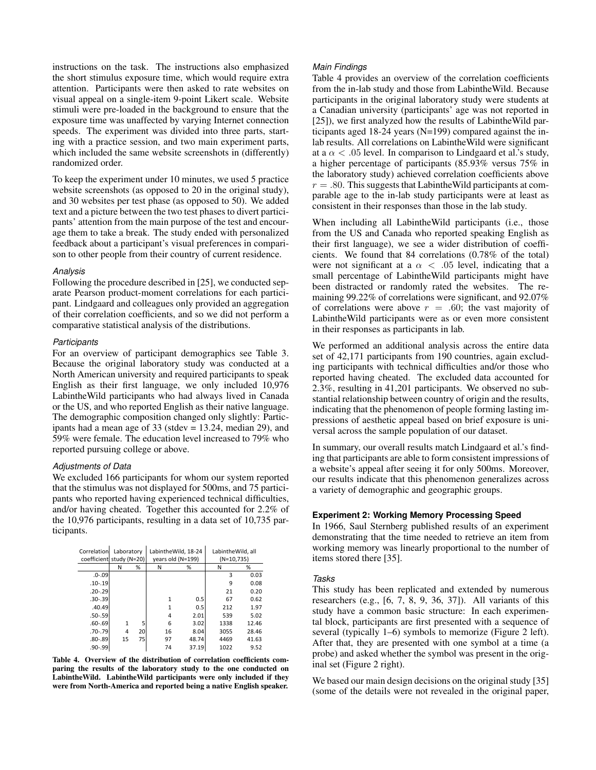instructions on the task. The instructions also emphasized the short stimulus exposure time, which would require extra attention. Participants were then asked to rate websites on visual appeal on a single-item 9-point Likert scale. Website stimuli were pre-loaded in the background to ensure that the exposure time was unaffected by varying Internet connection speeds. The experiment was divided into three parts, starting with a practice session, and two main experiment parts, which included the same website screenshots in (differently) randomized order.

To keep the experiment under 10 minutes, we used 5 practice website screenshots (as opposed to 20 in the original study), and 30 websites per test phase (as opposed to 50). We added text and a picture between the two test phases to divert participants' attention from the main purpose of the test and encourage them to take a break. The study ended with personalized feedback about a participant's visual preferences in comparison to other people from their country of current residence.

#### *Analysis*

Following the procedure described in [\[25\]](#page-14-16), we conducted separate Pearson product-moment correlations for each participant. Lindgaard and colleagues only provided an aggregation of their correlation coefficients, and so we did not perform a comparative statistical analysis of the distributions.

#### *Participants*

For an overview of participant demographics see Table [3.](#page-6-0) Because the original laboratory study was conducted at a North American university and required participants to speak English as their first language, we only included 10,976 LabintheWild participants who had always lived in Canada or the US, and who reported English as their native language. The demographic composition changed only slightly: Participants had a mean age of 33 (stdev = 13.24, median 29), and 59% were female. The education level increased to 79% who reported pursuing college or above.

#### *Adjustments of Data*

We excluded 166 participants for whom our system reported that the stimulus was not displayed for 500ms, and 75 participants who reported having experienced technical difficulties, and/or having cheated. Together this accounted for 2.2% of the 10,976 participants, resulting in a data set of 10,735 participants.

| Correlationl             |    | Laboratory |                                   | LabintheWild, 18-24 | LabintheWild, all |       |  |
|--------------------------|----|------------|-----------------------------------|---------------------|-------------------|-------|--|
| coefficient study (N=20) |    |            | years old (N=199)<br>$(N=10,735)$ |                     |                   |       |  |
|                          | N  | %          | Ν                                 | %                   | Ν                 | %     |  |
| $.0 - .09$               |    |            |                                   |                     | 3                 | 0.03  |  |
| $.10 - .19$              |    |            |                                   |                     | 9                 | 0.08  |  |
| $.20 - .29$              |    |            |                                   |                     | 21                | 0.20  |  |
| $.30 - .39$              |    |            | 1                                 | 0.5                 | 67                | 0.62  |  |
| .40.49                   |    |            | 1                                 | 0.5                 | 212               | 1.97  |  |
| $.50 - .59$              |    |            | 4                                 | 2.01                | 539               | 5.02  |  |
| $.60 - .69$              | 1  | 5          | 6                                 | 3.02                | 1338              | 12.46 |  |
| $.70 - .79$              | 4  | 20         | 16                                | 8.04                | 3055              | 28.46 |  |
| $.80 - .89$              | 15 | 75         | 97                                | 48.74               | 4469              | 41.63 |  |
| $.90 - .99$              |    |            | 74                                | 37.19               | 1022              | 9.52  |  |

<span id="page-7-0"></span>Table 4. Overview of the distribution of correlation coefficients comparing the results of the laboratory study to the one conducted on LabintheWild. LabintheWild participants were only included if they were from North-America and reported being a native English speaker.

#### *Main Findings*

Table [4](#page-7-0) provides an overview of the correlation coefficients from the in-lab study and those from LabintheWild. Because participants in the original laboratory study were students at a Canadian university (participants' age was not reported in [\[25\]](#page-14-16)), we first analyzed how the results of LabintheWild participants aged 18-24 years (N=199) compared against the inlab results. All correlations on LabintheWild were significant at a  $\alpha$  < .05 level. In comparison to Lindgaard et al.'s study, a higher percentage of participants (85.93% versus 75% in the laboratory study) achieved correlation coefficients above  $r = .80$ . This suggests that Labinthe Wild participants at comparable age to the in-lab study participants were at least as consistent in their responses than those in the lab study.

When including all LabintheWild participants (i.e., those from the US and Canada who reported speaking English as their first language), we see a wider distribution of coefficients. We found that 84 correlations (0.78% of the total) were not significant at a  $\alpha$  < .05 level, indicating that a small percentage of LabintheWild participants might have been distracted or randomly rated the websites. The remaining 99.22% of correlations were significant, and 92.07% of correlations were above  $r = .60$ ; the vast majority of LabintheWild participants were as or even more consistent in their responses as participants in lab.

We performed an additional analysis across the entire data set of 42,171 participants from 190 countries, again excluding participants with technical difficulties and/or those who reported having cheated. The excluded data accounted for 2.3%, resulting in 41,201 participants. We observed no substantial relationship between country of origin and the results, indicating that the phenomenon of people forming lasting impressions of aesthetic appeal based on brief exposure is universal across the sample population of our dataset.

In summary, our overall results match Lindgaard et al.'s finding that participants are able to form consistent impressions of a website's appeal after seeing it for only 500ms. Moreover, our results indicate that this phenomenon generalizes across a variety of demographic and geographic groups.

## **Experiment 2: Working Memory Processing Speed**

In 1966, Saul Sternberg published results of an experiment demonstrating that the time needed to retrieve an item from working memory was linearly proportional to the number of items stored there [\[35\]](#page-14-17).

#### *Tasks*

This study has been replicated and extended by numerous researchers (e.g., [\[6,](#page-13-11) [7,](#page-13-12) [8,](#page-13-13) [9,](#page-13-14) [36,](#page-14-18) [37\]](#page-14-19)). All variants of this study have a common basic structure: In each experimental block, participants are first presented with a sequence of several (typically 1–6) symbols to memorize (Figure [2](#page-8-0) left). After that, they are presented with one symbol at a time (a probe) and asked whether the symbol was present in the original set (Figure [2](#page-8-0) right).

We based our main design decisions on the original study [\[35\]](#page-14-17) (some of the details were not revealed in the original paper,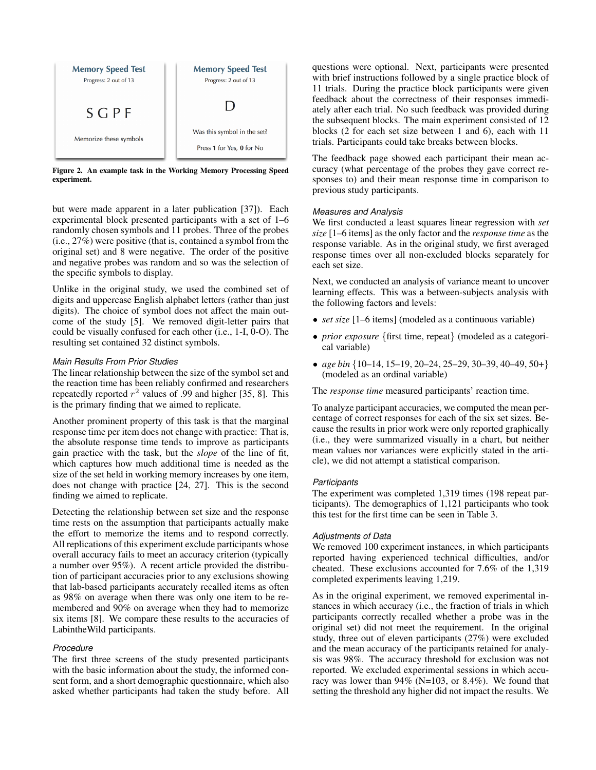

Figure 2. An example task in the Working Memory Processing Speed experiment.

<span id="page-8-0"></span>but were made apparent in a later publication [\[37\]](#page-14-19)). Each experimental block presented participants with a set of 1–6 randomly chosen symbols and 11 probes. Three of the probes (i.e., 27%) were positive (that is, contained a symbol from the original set) and 8 were negative. The order of the positive and negative probes was random and so was the selection of the specific symbols to display.

Unlike in the original study, we used the combined set of digits and uppercase English alphabet letters (rather than just digits). The choice of symbol does not affect the main outcome of the study [\[5\]](#page-13-15). We removed digit-letter pairs that could be visually confused for each other (i.e., 1-I, 0-O). The resulting set contained 32 distinct symbols.

# *Main Results From Prior Studies*

The linear relationship between the size of the symbol set and the reaction time has been reliably confirmed and researchers repeatedly reported  $r^2$  values of .99 and higher [\[35,](#page-14-17) [8\]](#page-13-13). This is the primary finding that we aimed to replicate.

Another prominent property of this task is that the marginal response time per item does not change with practice: That is, the absolute response time tends to improve as participants gain practice with the task, but the *slope* of the line of fit, which captures how much additional time is needed as the size of the set held in working memory increases by one item, does not change with practice [\[24,](#page-14-20) [27\]](#page-14-21). This is the second finding we aimed to replicate.

Detecting the relationship between set size and the response time rests on the assumption that participants actually make the effort to memorize the items and to respond correctly. All replications of this experiment exclude participants whose overall accuracy fails to meet an accuracy criterion (typically a number over 95%). A recent article provided the distribution of participant accuracies prior to any exclusions showing that lab-based participants accurately recalled items as often as 98% on average when there was only one item to be remembered and 90% on average when they had to memorize six items [\[8\]](#page-13-13). We compare these results to the accuracies of LabintheWild participants.

#### *Procedure*

The first three screens of the study presented participants with the basic information about the study, the informed consent form, and a short demographic questionnaire, which also asked whether participants had taken the study before. All

questions were optional. Next, participants were presented with brief instructions followed by a single practice block of 11 trials. During the practice block participants were given feedback about the correctness of their responses immediately after each trial. No such feedback was provided during the subsequent blocks. The main experiment consisted of 12 blocks (2 for each set size between 1 and 6), each with 11 trials. Participants could take breaks between blocks.

The feedback page showed each participant their mean accuracy (what percentage of the probes they gave correct responses to) and their mean response time in comparison to previous study participants.

## *Measures and Analysis*

We first conducted a least squares linear regression with *set size* [1–6 items] as the only factor and the *response time* as the response variable. As in the original study, we first averaged response times over all non-excluded blocks separately for each set size.

Next, we conducted an analysis of variance meant to uncover learning effects. This was a between-subjects analysis with the following factors and levels:

- *set size* [1–6 items] (modeled as a continuous variable)
- *prior exposure* {first time, repeat} (modeled as a categorical variable)
- *age bin* {10–14, 15–19, 20–24, 25–29, 30–39, 40–49, 50+} (modeled as an ordinal variable)

The *response time* measured participants' reaction time.

To analyze participant accuracies, we computed the mean percentage of correct responses for each of the six set sizes. Because the results in prior work were only reported graphically (i.e., they were summarized visually in a chart, but neither mean values nor variances were explicitly stated in the article), we did not attempt a statistical comparison.

#### *Participants*

The experiment was completed 1,319 times (198 repeat participants). The demographics of 1,121 participants who took this test for the first time can be seen in Table [3.](#page-6-0)

#### *Adjustments of Data*

We removed 100 experiment instances, in which participants reported having experienced technical difficulties, and/or cheated. These exclusions accounted for 7.6% of the 1,319 completed experiments leaving 1,219.

As in the original experiment, we removed experimental instances in which accuracy (i.e., the fraction of trials in which participants correctly recalled whether a probe was in the original set) did not meet the requirement. In the original study, three out of eleven participants (27%) were excluded and the mean accuracy of the participants retained for analysis was 98%. The accuracy threshold for exclusion was not reported. We excluded experimental sessions in which accuracy was lower than 94% (N=103, or 8.4%). We found that setting the threshold any higher did not impact the results. We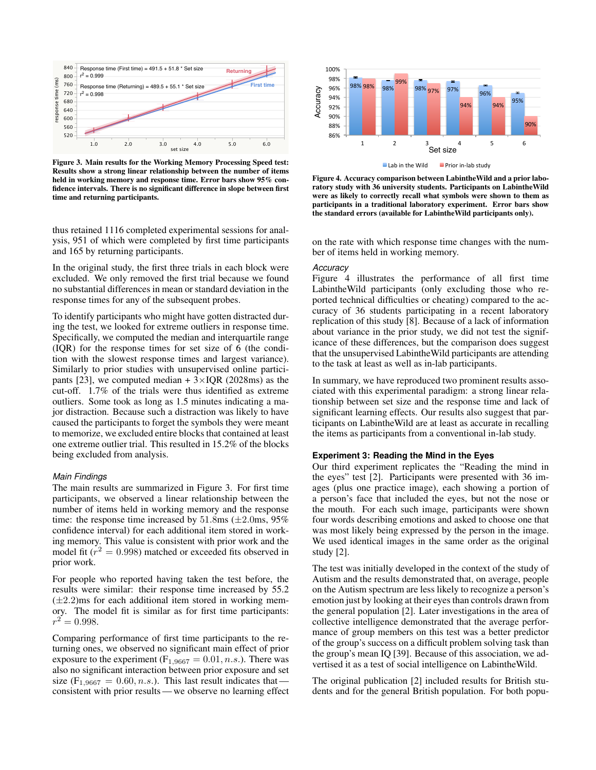

<span id="page-9-0"></span>Figure 3. Main results for the Working Memory Processing Speed test: Results show a strong linear relationship between the number of items held in working memory and response time. Error bars show 95% confidence intervals. There is no significant difference in slope between first time and returning participants.

thus retained 1116 completed experimental sessions for analysis, 951 of which were completed by first time participants and 165 by returning participants.

In the original study, the first three trials in each block were excluded. We only removed the first trial because we found no substantial differences in mean or standard deviation in the response times for any of the subsequent probes.

To identify participants who might have gotten distracted during the test, we looked for extreme outliers in response time. Specifically, we computed the median and interquartile range (IQR) for the response times for set size of 6 (the condition with the slowest response times and largest variance). Similarly to prior studies with unsupervised online partici-pants [\[23\]](#page-14-4), we computed median  $+3\times IQR$  (2028ms) as the cut-off. 1.7% of the trials were thus identified as extreme outliers. Some took as long as 1.5 minutes indicating a major distraction. Because such a distraction was likely to have caused the participants to forget the symbols they were meant to memorize, we excluded entire blocks that contained at least one extreme outlier trial. This resulted in 15.2% of the blocks being excluded from analysis.

#### *Main Findings*

The main results are summarized in Figure [3.](#page-9-0) For first time participants, we observed a linear relationship between the number of items held in working memory and the response time: the response time increased by  $51.8 \text{ms}$  ( $\pm 2.0 \text{ms}$ ,  $95\%$ ) confidence interval) for each additional item stored in working memory. This value is consistent with prior work and the model fit ( $r^2 = 0.998$ ) matched or exceeded fits observed in prior work.

For people who reported having taken the test before, the results were similar: their response time increased by 55.2  $(\pm 2.2)$ ms for each additional item stored in working memory. The model fit is similar as for first time participants:  $r^2 = 0.998.$ 

Comparing performance of first time participants to the returning ones, we observed no significant main effect of prior exposure to the experiment ( $F_{1,9667} = 0.01, n.s$ .). There was also no significant interaction between prior exposure and set size ( $F_{1,9667} = 0.60, n.s.$ ). This last result indicates that consistent with prior results— we observe no learning effect



<span id="page-9-1"></span>

Figure 4. Accuracy comparison between LabintheWild and a prior laboratory study with 36 university students. Participants on LabintheWild were as likely to correctly recall what symbols were shown to them as participants in a traditional laboratory experiment. Error bars show the standard errors (available for LabintheWild participants only).

on the rate with which response time changes with the number of items held in working memory.

#### *Accuracy*

Figure [4](#page-9-1) illustrates the performance of all first time LabintheWild participants (only excluding those who reported technical difficulties or cheating) compared to the accuracy of 36 students participating in a recent laboratory replication of this study [\[8\]](#page-13-13). Because of a lack of information about variance in the prior study, we did not test the significance of these differences, but the comparison does suggest that the unsupervised LabintheWild participants are attending to the task at least as well as in-lab participants.

In summary, we have reproduced two prominent results associated with this experimental paradigm: a strong linear relationship between set size and the response time and lack of significant learning effects. Our results also suggest that participants on LabintheWild are at least as accurate in recalling the items as participants from a conventional in-lab study.

### **Experiment 3: Reading the Mind in the Eyes**

Our third experiment replicates the "Reading the mind in the eyes" test [\[2\]](#page-13-10). Participants were presented with 36 images (plus one practice image), each showing a portion of a person's face that included the eyes, but not the nose or the mouth. For each such image, participants were shown four words describing emotions and asked to choose one that was most likely being expressed by the person in the image. We used identical images in the same order as the original study [\[2\]](#page-13-10).

The test was initially developed in the context of the study of Autism and the results demonstrated that, on average, people on the Autism spectrum are less likely to recognize a person's emotion just by looking at their eyes than controls drawn from the general population [\[2\]](#page-13-10). Later investigations in the area of collective intelligence demonstrated that the average performance of group members on this test was a better predictor of the group's success on a difficult problem solving task than the group's mean IQ [\[39\]](#page-14-22). Because of this association, we advertised it as a test of social intelligence on LabintheWild.

The original publication [\[2\]](#page-13-10) included results for British students and for the general British population. For both popu-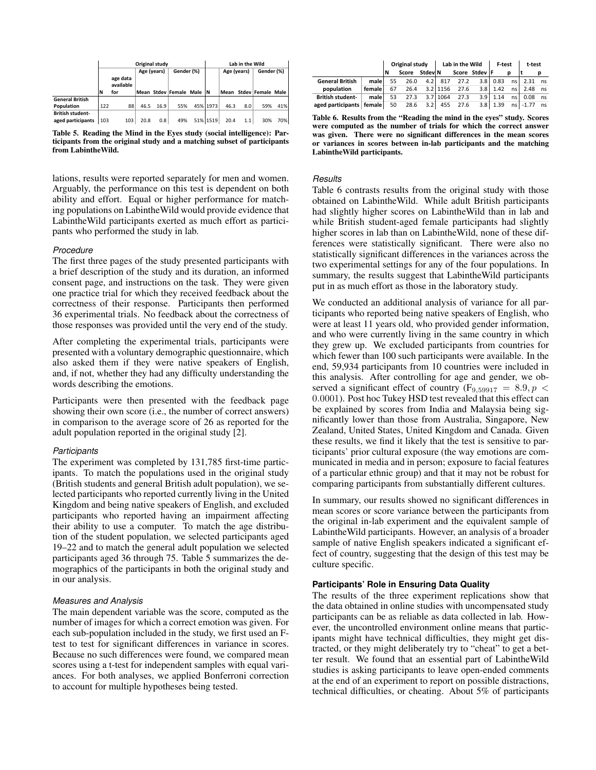|                         |     |           | Original study |      | Lab in the Wild          |  |          |      |             |                        |            |
|-------------------------|-----|-----------|----------------|------|--------------------------|--|----------|------|-------------|------------------------|------------|
|                         |     |           | Age (years)    |      | Gender (%)               |  |          |      | Age (years) |                        | Gender (%) |
|                         |     | age data  |                |      |                          |  |          |      |             |                        |            |
|                         |     | available |                |      |                          |  |          |      |             |                        |            |
|                         | N   | for       |                |      | Mean Stdev Female Male N |  |          |      |             | Mean Stdev Female Male |            |
| <b>General British</b>  |     |           |                |      |                          |  |          |      |             |                        |            |
| Population              | 122 | 88        | 46.5           | 16.9 | 55%                      |  | 45% 1973 | 46.3 | 8.0         | 59%                    | 41%        |
| <b>British student-</b> |     |           |                |      |                          |  |          |      |             |                        |            |
| aged participants       | 103 | 103       | 20.8           | 0.8  | 49%                      |  | 51% 1519 | 20.4 | 1.1         | 30%                    | 70%        |

<span id="page-10-0"></span>Table 5. Reading the Mind in the Eyes study (social intelligence): Participants from the original study and a matching subset of participants from LabintheWild.

lations, results were reported separately for men and women. Arguably, the performance on this test is dependent on both ability and effort. Equal or higher performance for matching populations on LabintheWild would provide evidence that LabintheWild participants exerted as much effort as participants who performed the study in lab.

#### *Procedure*

The first three pages of the study presented participants with a brief description of the study and its duration, an informed consent page, and instructions on the task. They were given one practice trial for which they received feedback about the correctness of their response. Participants then performed 36 experimental trials. No feedback about the correctness of those responses was provided until the very end of the study.

After completing the experimental trials, participants were presented with a voluntary demographic questionnaire, which also asked them if they were native speakers of English, and, if not, whether they had any difficulty understanding the words describing the emotions.

Participants were then presented with the feedback page showing their own score (i.e., the number of correct answers) in comparison to the average score of 26 as reported for the adult population reported in the original study [\[2\]](#page-13-10).

#### *Participants*

The experiment was completed by 131,785 first-time participants. To match the populations used in the original study (British students and general British adult population), we selected participants who reported currently living in the United Kingdom and being native speakers of English, and excluded participants who reported having an impairment affecting their ability to use a computer. To match the age distribution of the student population, we selected participants aged 19–22 and to match the general adult population we selected participants aged 36 through 75. Table [5](#page-10-0) summarizes the demographics of the participants in both the original study and in our analysis.

#### *Measures and Analysis*

The main dependent variable was the score, computed as the number of images for which a correct emotion was given. For each sub-population included in the study, we first used an Ftest to test for significant differences in variance in scores. Because no such differences were found, we compared mean scores using a t-test for independent samples with equal variances. For both analyses, we applied Bonferroni correction to account for multiple hypotheses being tested.

|                            |        | Original study |       |                  | Lab in the Wild |      |                  | F-test     |      | t-test     |    |
|----------------------------|--------|----------------|-------|------------------|-----------------|------|------------------|------------|------|------------|----|
|                            |        |                | Score | Stdev N          |                 |      | Score Stdev F    |            |      |            |    |
| <b>General British</b>     | male l | 55             | 26.0  | 4.2 <sub>1</sub> | 817             | 27.2 |                  | $3.8$ 0.83 |      | $ns$ 2.31  | ns |
| population                 | female | 67             | 26.4  |                  | $3.2$   1156    | 27.6 | 3.8 <sub>1</sub> | 1.42       | ns l | 2.48       | ns |
| <b>British student-</b>    | male   | 53             | 27.3  |                  | 3.7 1064        | 27.3 | 3.91             | 1.14       | ns l | 0.08       | ns |
| aged participants   female |        | 50             | 28.6  | 3.2              | 455             | 27.6 | 3.8 <sub>1</sub> | 1.39       |      | $ns$ -1.77 | ns |

<span id="page-10-1"></span>Table 6. Results from the "Reading the mind in the eyes" study. Scores were computed as the number of trials for which the correct answer was given. There were no significant differences in the mean scores or variances in scores between in-lab participants and the matching LabintheWild participants.

#### *Results*

Table [6](#page-10-1) contrasts results from the original study with those obtained on LabintheWild. While adult British participants had slightly higher scores on LabintheWild than in lab and while British student-aged female participants had slightly higher scores in lab than on LabintheWild, none of these differences were statistically significant. There were also no statistically significant differences in the variances across the two experimental settings for any of the four populations. In summary, the results suggest that LabintheWild participants put in as much effort as those in the laboratory study.

We conducted an additional analysis of variance for all participants who reported being native speakers of English, who were at least 11 years old, who provided gender information, and who were currently living in the same country in which they grew up. We excluded participants from countries for which fewer than 100 such participants were available. In the end, 59,934 participants from 10 countries were included in this analysis. After controlling for age and gender, we observed a significant effect of country ( $F_{9,59917} = 8.9, p <$ 0.0001). Post hoc Tukey HSD test revealed that this effect can be explained by scores from India and Malaysia being significantly lower than those from Australia, Singapore, New Zealand, United States, United Kingdom and Canada. Given these results, we find it likely that the test is sensitive to participants' prior cultural exposure (the way emotions are communicated in media and in person; exposure to facial features of a particular ethnic group) and that it may not be robust for comparing participants from substantially different cultures.

In summary, our results showed no significant differences in mean scores or score variance between the participants from the original in-lab experiment and the equivalent sample of LabintheWild participants. However, an analysis of a broader sample of native English speakers indicated a significant effect of country, suggesting that the design of this test may be culture specific.

#### **Participants' Role in Ensuring Data Quality**

The results of the three experiment replications show that the data obtained in online studies with uncompensated study participants can be as reliable as data collected in lab. However, the uncontrolled environment online means that participants might have technical difficulties, they might get distracted, or they might deliberately try to "cheat" to get a better result. We found that an essential part of LabintheWild studies is asking participants to leave open-ended comments at the end of an experiment to report on possible distractions, technical difficulties, or cheating. About 5% of participants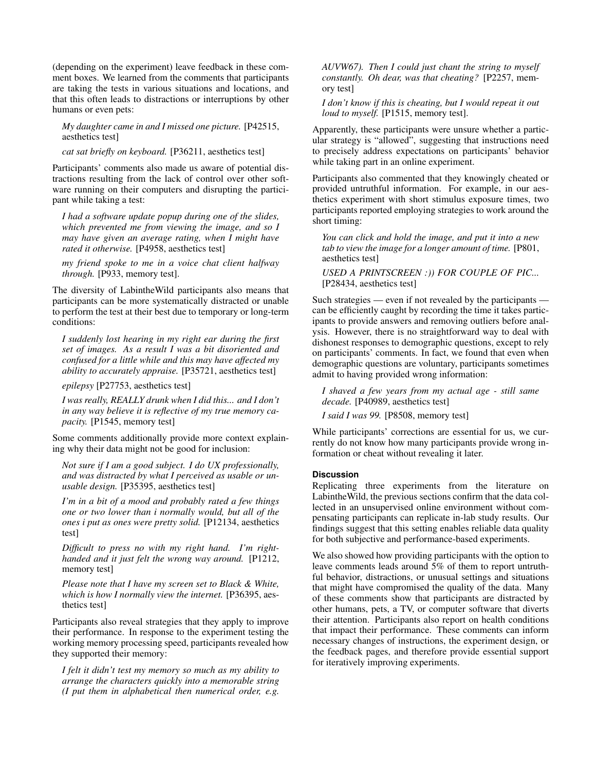(depending on the experiment) leave feedback in these comment boxes. We learned from the comments that participants are taking the tests in various situations and locations, and that this often leads to distractions or interruptions by other humans or even pets:

*My daughter came in and I missed one picture.* [P42515, aesthetics test]

*cat sat briefly on keyboard.* [P36211, aesthetics test]

Participants' comments also made us aware of potential distractions resulting from the lack of control over other software running on their computers and disrupting the participant while taking a test:

*I had a software update popup during one of the slides, which prevented me from viewing the image, and so I may have given an average rating, when I might have rated it otherwise.* [P4958, aesthetics test]

*my friend spoke to me in a voice chat client halfway through.* [P933, memory test].

The diversity of LabintheWild participants also means that participants can be more systematically distracted or unable to perform the test at their best due to temporary or long-term conditions:

*I suddenly lost hearing in my right ear during the first set of images. As a result I was a bit disoriented and confused for a little while and this may have affected my ability to accurately appraise.* [P35721, aesthetics test]

*epilepsy* [P27753, aesthetics test]

*I was really, REALLY drunk when I did this... and I don't in any way believe it is reflective of my true memory capacity.* [P1545, memory test]

Some comments additionally provide more context explaining why their data might not be good for inclusion:

*Not sure if I am a good subject. I do UX professionally, and was distracted by what I perceived as usable or unusable design.* [P35395, aesthetics test]

*I'm in a bit of a mood and probably rated a few things one or two lower than i normally would, but all of the ones i put as ones were pretty solid.* [P12134, aesthetics test]

*Difficult to press no with my right hand. I'm righthanded and it just felt the wrong way around.* [P1212, memory test]

*Please note that I have my screen set to Black & White, which is how I normally view the internet.* [P36395, aesthetics test]

Participants also reveal strategies that they apply to improve their performance. In response to the experiment testing the working memory processing speed, participants revealed how they supported their memory:

*I felt it didn't test my memory so much as my ability to arrange the characters quickly into a memorable string (I put them in alphabetical then numerical order, e.g.* *AUVW67). Then I could just chant the string to myself constantly. Oh dear, was that cheating?* [P2257, memory test]

*I don't know if this is cheating, but I would repeat it out loud to myself.* [P1515, memory test].

Apparently, these participants were unsure whether a particular strategy is "allowed", suggesting that instructions need to precisely address expectations on participants' behavior while taking part in an online experiment.

Participants also commented that they knowingly cheated or provided untruthful information. For example, in our aesthetics experiment with short stimulus exposure times, two participants reported employing strategies to work around the short timing:

*You can click and hold the image, and put it into a new tab to view the image for a longer amount of time.* [P801, aesthetics test]

*USED A PRINTSCREEN :)) FOR COUPLE OF PIC...* [P28434, aesthetics test]

Such strategies — even if not revealed by the participants can be efficiently caught by recording the time it takes participants to provide answers and removing outliers before analysis. However, there is no straightforward way to deal with dishonest responses to demographic questions, except to rely on participants' comments. In fact, we found that even when demographic questions are voluntary, participants sometimes admit to having provided wrong information:

*I shaved a few years from my actual age - still same decade.* [P40989, aesthetics test]

*I said I was 99.* [P8508, memory test]

While participants' corrections are essential for us, we currently do not know how many participants provide wrong information or cheat without revealing it later.

## **Discussion**

Replicating three experiments from the literature on LabintheWild, the previous sections confirm that the data collected in an unsupervised online environment without compensating participants can replicate in-lab study results. Our findings suggest that this setting enables reliable data quality for both subjective and performance-based experiments.

We also showed how providing participants with the option to leave comments leads around 5% of them to report untruthful behavior, distractions, or unusual settings and situations that might have compromised the quality of the data. Many of these comments show that participants are distracted by other humans, pets, a TV, or computer software that diverts their attention. Participants also report on health conditions that impact their performance. These comments can inform necessary changes of instructions, the experiment design, or the feedback pages, and therefore provide essential support for iteratively improving experiments.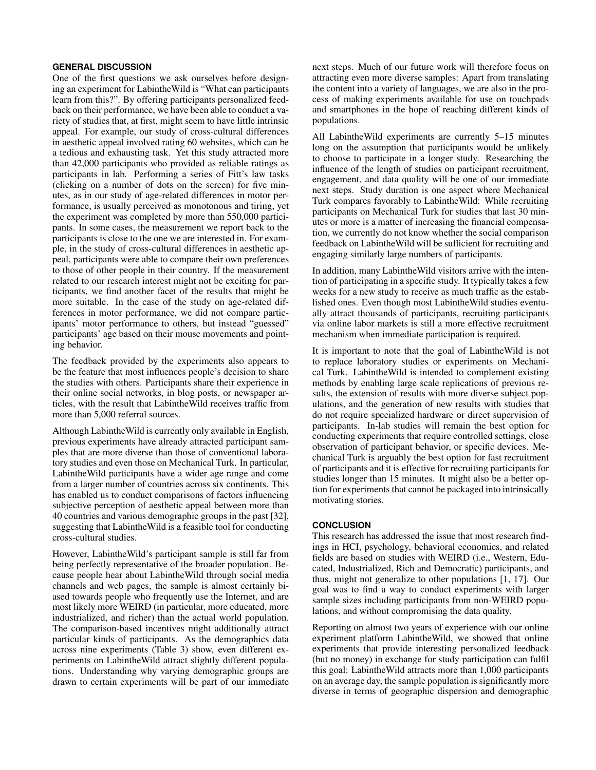## **GENERAL DISCUSSION**

One of the first questions we ask ourselves before designing an experiment for LabintheWild is "What can participants learn from this?". By offering participants personalized feedback on their performance, we have been able to conduct a variety of studies that, at first, might seem to have little intrinsic appeal. For example, our study of cross-cultural differences in aesthetic appeal involved rating 60 websites, which can be a tedious and exhausting task. Yet this study attracted more than 42,000 participants who provided as reliable ratings as participants in lab. Performing a series of Fitt's law tasks (clicking on a number of dots on the screen) for five minutes, as in our study of age-related differences in motor performance, is usually perceived as monotonous and tiring, yet the experiment was completed by more than 550,000 participants. In some cases, the measurement we report back to the participants is close to the one we are interested in. For example, in the study of cross-cultural differences in aesthetic appeal, participants were able to compare their own preferences to those of other people in their country. If the measurement related to our research interest might not be exciting for participants, we find another facet of the results that might be more suitable. In the case of the study on age-related differences in motor performance, we did not compare participants' motor performance to others, but instead "guessed" participants' age based on their mouse movements and pointing behavior.

The feedback provided by the experiments also appears to be the feature that most influences people's decision to share the studies with others. Participants share their experience in their online social networks, in blog posts, or newspaper articles, with the result that LabintheWild receives traffic from more than 5,000 referral sources.

Although LabintheWild is currently only available in English, previous experiments have already attracted participant samples that are more diverse than those of conventional laboratory studies and even those on Mechanical Turk. In particular, LabintheWild participants have a wider age range and come from a larger number of countries across six continents. This has enabled us to conduct comparisons of factors influencing subjective perception of aesthetic appeal between more than 40 countries and various demographic groups in the past [\[32\]](#page-14-1), suggesting that LabintheWild is a feasible tool for conducting cross-cultural studies.

However, LabintheWild's participant sample is still far from being perfectly representative of the broader population. Because people hear about LabintheWild through social media channels and web pages, the sample is almost certainly biased towards people who frequently use the Internet, and are most likely more WEIRD (in particular, more educated, more industrialized, and richer) than the actual world population. The comparison-based incentives might additionally attract particular kinds of participants. As the demographics data across nine experiments (Table [3\)](#page-6-0) show, even different experiments on LabintheWild attract slightly different populations. Understanding why varying demographic groups are drawn to certain experiments will be part of our immediate next steps. Much of our future work will therefore focus on attracting even more diverse samples: Apart from translating the content into a variety of languages, we are also in the process of making experiments available for use on touchpads and smartphones in the hope of reaching different kinds of populations.

All LabintheWild experiments are currently 5–15 minutes long on the assumption that participants would be unlikely to choose to participate in a longer study. Researching the influence of the length of studies on participant recruitment, engagement, and data quality will be one of our immediate next steps. Study duration is one aspect where Mechanical Turk compares favorably to LabintheWild: While recruiting participants on Mechanical Turk for studies that last 30 minutes or more is a matter of increasing the financial compensation, we currently do not know whether the social comparison feedback on LabintheWild will be sufficient for recruiting and engaging similarly large numbers of participants.

In addition, many LabintheWild visitors arrive with the intention of participating in a specific study. It typically takes a few weeks for a new study to receive as much traffic as the established ones. Even though most LabintheWild studies eventually attract thousands of participants, recruiting participants via online labor markets is still a more effective recruitment mechanism when immediate participation is required.

It is important to note that the goal of LabintheWild is not to replace laboratory studies or experiments on Mechanical Turk. LabintheWild is intended to complement existing methods by enabling large scale replications of previous results, the extension of results with more diverse subject populations, and the generation of new results with studies that do not require specialized hardware or direct supervision of participants. In-lab studies will remain the best option for conducting experiments that require controlled settings, close observation of participant behavior, or specific devices. Mechanical Turk is arguably the best option for fast recruitment of participants and it is effective for recruiting participants for studies longer than 15 minutes. It might also be a better option for experiments that cannot be packaged into intrinsically motivating stories.

#### **CONCLUSION**

This research has addressed the issue that most research findings in HCI, psychology, behavioral economics, and related fields are based on studies with WEIRD (i.e., Western, Educated, Industrialized, Rich and Democratic) participants, and thus, might not generalize to other populations [\[1,](#page-13-0) [17\]](#page-14-0). Our goal was to find a way to conduct experiments with larger sample sizes including participants from non-WEIRD populations, and without compromising the data quality.

Reporting on almost two years of experience with our online experiment platform LabintheWild, we showed that online experiments that provide interesting personalized feedback (but no money) in exchange for study participation can fulfil this goal: LabintheWild attracts more than 1,000 participants on an average day, the sample population is significantly more diverse in terms of geographic dispersion and demographic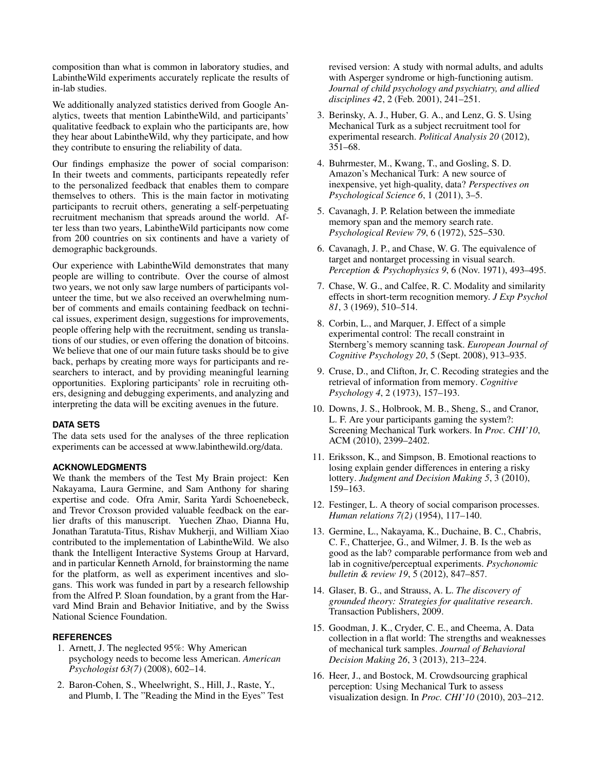composition than what is common in laboratory studies, and LabintheWild experiments accurately replicate the results of in-lab studies.

We additionally analyzed statistics derived from Google Analytics, tweets that mention LabintheWild, and participants' qualitative feedback to explain who the participants are, how they hear about LabintheWild, why they participate, and how they contribute to ensuring the reliability of data.

Our findings emphasize the power of social comparison: In their tweets and comments, participants repeatedly refer to the personalized feedback that enables them to compare themselves to others. This is the main factor in motivating participants to recruit others, generating a self-perpetuating recruitment mechanism that spreads around the world. After less than two years, LabintheWild participants now come from 200 countries on six continents and have a variety of demographic backgrounds.

Our experience with LabintheWild demonstrates that many people are willing to contribute. Over the course of almost two years, we not only saw large numbers of participants volunteer the time, but we also received an overwhelming number of comments and emails containing feedback on technical issues, experiment design, suggestions for improvements, people offering help with the recruitment, sending us translations of our studies, or even offering the donation of bitcoins. We believe that one of our main future tasks should be to give back, perhaps by creating more ways for participants and researchers to interact, and by providing meaningful learning opportunities. Exploring participants' role in recruiting others, designing and debugging experiments, and analyzing and interpreting the data will be exciting avenues in the future.

# **DATA SETS**

The data sets used for the analyses of the three replication experiments can be accessed at www.labinthewild.org/data.

#### **ACKNOWLEDGMENTS**

We thank the members of the Test My Brain project: Ken Nakayama, Laura Germine, and Sam Anthony for sharing expertise and code. Ofra Amir, Sarita Yardi Schoenebeck, and Trevor Croxson provided valuable feedback on the earlier drafts of this manuscript. Yuechen Zhao, Dianna Hu, Jonathan Taratuta-Titus, Rishav Mukherji, and William Xiao contributed to the implementation of LabintheWild. We also thank the Intelligent Interactive Systems Group at Harvard, and in particular Kenneth Arnold, for brainstorming the name for the platform, as well as experiment incentives and slogans. This work was funded in part by a research fellowship from the Alfred P. Sloan foundation, by a grant from the Harvard Mind Brain and Behavior Initiative, and by the Swiss National Science Foundation.

# <span id="page-13-0"></span>**REFERENCES**

- 1. Arnett, J. The neglected 95%: Why American psychology needs to become less American. *American Psychologist 63(7)* (2008), 602–14.
- <span id="page-13-10"></span>2. Baron-Cohen, S., Wheelwright, S., Hill, J., Raste, Y., and Plumb, I. The "Reading the Mind in the Eyes" Test

revised version: A study with normal adults, and adults with Asperger syndrome or high-functioning autism. *Journal of child psychology and psychiatry, and allied disciplines 42*, 2 (Feb. 2001), 241–251.

- <span id="page-13-2"></span>3. Berinsky, A. J., Huber, G. A., and Lenz, G. S. Using Mechanical Turk as a subject recruitment tool for experimental research. *Political Analysis 20* (2012), 351–68.
- <span id="page-13-3"></span>4. Buhrmester, M., Kwang, T., and Gosling, S. D. Amazon's Mechanical Turk: A new source of inexpensive, yet high-quality, data? *Perspectives on Psychological Science 6*, 1 (2011), 3–5.
- <span id="page-13-15"></span>5. Cavanagh, J. P. Relation between the immediate memory span and the memory search rate. *Psychological Review 79*, 6 (1972), 525–530.
- <span id="page-13-11"></span>6. Cavanagh, J. P., and Chase, W. G. The equivalence of target and nontarget processing in visual search. *Perception & Psychophysics 9*, 6 (Nov. 1971), 493–495.
- <span id="page-13-12"></span>7. Chase, W. G., and Calfee, R. C. Modality and similarity effects in short-term recognition memory. *J Exp Psychol 81*, 3 (1969), 510–514.
- <span id="page-13-13"></span>8. Corbin, L., and Marquer, J. Effect of a simple experimental control: The recall constraint in Sternberg's memory scanning task. *European Journal of Cognitive Psychology 20*, 5 (Sept. 2008), 913–935.
- <span id="page-13-14"></span>9. Cruse, D., and Clifton, Jr, C. Recoding strategies and the retrieval of information from memory. *Cognitive Psychology 4*, 2 (1973), 157–193.
- <span id="page-13-4"></span>10. Downs, J. S., Holbrook, M. B., Sheng, S., and Cranor, L. F. Are your participants gaming the system?: Screening Mechanical Turk workers. In *Proc. CHI'10*, ACM (2010), 2399–2402.
- <span id="page-13-6"></span>11. Eriksson, K., and Simpson, B. Emotional reactions to losing explain gender differences in entering a risky lottery. *Judgment and Decision Making 5*, 3 (2010), 159–163.
- <span id="page-13-8"></span>12. Festinger, L. A theory of social comparison processes. *Human relations 7(2)* (1954), 117–140.
- <span id="page-13-7"></span>13. Germine, L., Nakayama, K., Duchaine, B. C., Chabris, C. F., Chatterjee, G., and Wilmer, J. B. Is the web as good as the lab? comparable performance from web and lab in cognitive/perceptual experiments. *Psychonomic bulletin & review 19*, 5 (2012), 847–857.
- <span id="page-13-9"></span>14. Glaser, B. G., and Strauss, A. L. *The discovery of grounded theory: Strategies for qualitative research*. Transaction Publishers, 2009.
- <span id="page-13-5"></span>15. Goodman, J. K., Cryder, C. E., and Cheema, A. Data collection in a flat world: The strengths and weaknesses of mechanical turk samples. *Journal of Behavioral Decision Making 26*, 3 (2013), 213–224.
- <span id="page-13-1"></span>16. Heer, J., and Bostock, M. Crowdsourcing graphical perception: Using Mechanical Turk to assess visualization design. In *Proc. CHI'10* (2010), 203–212.